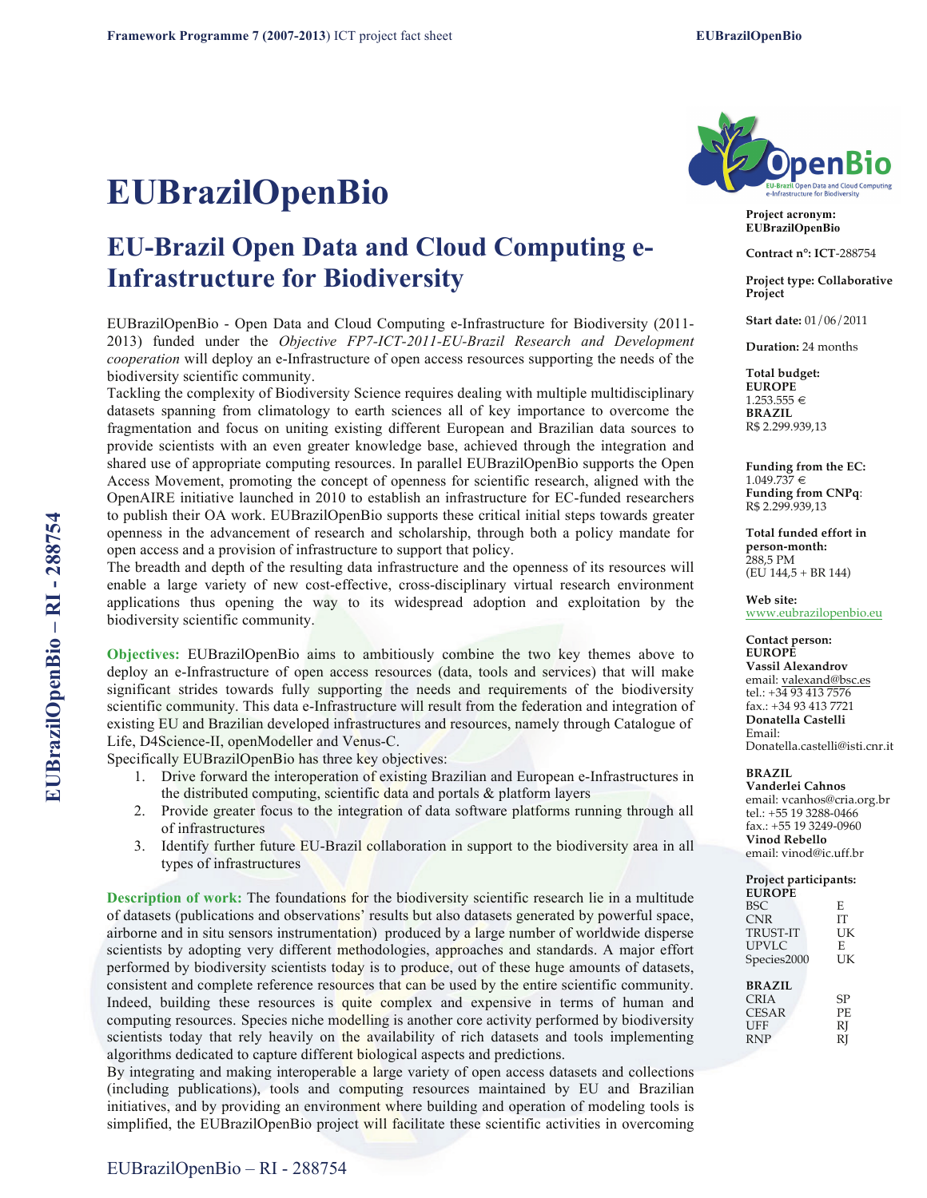# **EUBrazilOpenBio**

# **EU-Brazil Open Data and Cloud Computing e-Infrastructure for Biodiversity**

EUBrazilOpenBio - Open Data and Cloud Computing e-Infrastructure for Biodiversity (2011- 2013) funded under the *Objective FP7-ICT-2011-EU-Brazil Research and Development cooperation* will deploy an e-Infrastructure of open access resources supporting the needs of the biodiversity scientific community.

Tackling the complexity of Biodiversity Science requires dealing with multiple multidisciplinary datasets spanning from climatology to earth sciences all of key importance to overcome the fragmentation and focus on uniting existing different European and Brazilian data sources to provide scientists with an even greater knowledge base, achieved through the integration and shared use of appropriate computing resources. In parallel EUBrazilOpenBio supports the Open Access Movement, promoting the concept of openness for scientific research, aligned with the OpenAIRE initiative launched in 2010 to establish an infrastructure for EC-funded researchers to publish their OA work. EUBrazilOpenBio supports these critical initial steps towards greater openness in the advancement of research and scholarship, through both a policy mandate for open access and a provision of infrastructure to support that policy.

The breadth and depth of the resulting data infrastructure and the openness of its resources will enable a large variety of new cost-effective, cross-disciplinary virtual research environment applications thus opening the way to its widespread adoption and exploitation by the biodiversity scientific community.

**Objectives:** EUBrazilOpenBio aims to ambitiously combine the two key themes above to deploy an e-Infrastructure of open access resources (data, tools and services) that will make significant strides towards fully supporting the needs and requirements of the biodiversity scientific community. This data e-Infrastructure will result from the federation and integration of existing EU and Brazilian developed infrastructures and resources, namely through Catalogue of Life, D4Science-II, openModeller and Venus-C.

Specifically EUBrazilOpenBio has three key objectives:

- 1. Drive forward the interoperation of existing Brazilian and European e-Infrastructures in the distributed computing, scientific data and portals & platform layers
- 2. Provide greater focus to the integration of data software platforms running through all of infrastructures
- 3. Identify further future EU-Brazil collaboration in support to the biodiversity area in all types of infrastructures

**Description of work:** The foundations for the biodiversity scientific research lie in a multitude of datasets (publications and observations' results but also datasets generated by powerful space, airborne and in situ sensors instrumentation) produced by a large number of worldwide disperse scientists by adopting very different methodologies, approaches and standards. A major effort performed by biodiversity scientists today is to produce, out of these huge amounts of datasets, consistent and complete reference resources that can be used by the entire scientific community. Indeed, building these resources is quite complex and expensive in terms of human and computing resources. Species niche modelling is another core activity performed by biodiversity scientists today that rely heavily on the availability of rich datasets and tools implementing algorithms dedicated to capture different biological aspects and predictions.

By integrating and making interoperable a large variety of open access datasets and collections (including publications), tools and computing resources maintained by EU and Brazilian initiatives, and by providing an environment where building and operation of modeling tools is simplified, the EUBrazilOpenBio project will facilitate these scientific activities in overcoming



**Project acronym: EUBrazilOpenBio**

**Contract n°: ICT**-288754

**Project type: Collaborative Project**

**Start date:** 01/06/2011

**Duration:** 24 months

**Total budget: EUROPE**  $1.253.555 \in$ **BRAZIL** R\$ 2.299.939,13

**Funding from the EC:**   $1.049.737 \in$ **Funding from CNPq**: R\$ 2.299.939,13

**Total funded effort in person-month:** 288,5 PM (EU 144,5 + BR 144)

**Web site:**  www.eubrazilopenbio.eu

#### **Contact person: EUROPE Vassil Alexandrov** email: valexand@bsc.es tel.: +34 93 413 7576 fax.: +34 93 413 7721 **Donatella Castelli** Email: Donatella.castelli@isti.cnr.it

## **BRAZIL**

**Vanderlei Cahnos** email: vcanhos@cria.org.br tel.: +55 19 3288-0466 fax.: +55 19 3249-0960 **Vinod Rebello** email: vinod@ic.uff.br

### **Project participants:**

| <b>EUROPE</b>   |     |
|-----------------|-----|
| BSC.            | E   |
| <b>CNR</b>      | IТ  |
| <b>TRUST-IT</b> | UK  |
| <b>UPVLC</b>    | E   |
| Species2000     | UK  |
|                 |     |
| <b>BRAZIL</b>   |     |
| CRIA            | SP  |
| <b>CESAR</b>    | PF. |
| UFF             | RJ  |
| <b>RNP</b>      | RI  |